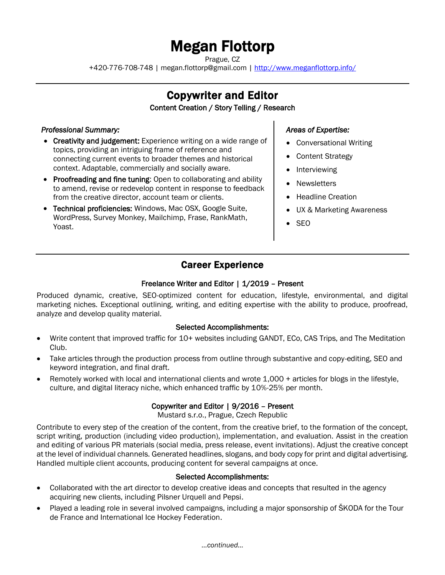# Megan Flottorp

Prague, CZ

+420-776-708-748 | megan.flottorp@gmail.com [| http://www.meganflottorp.info/](http://www.meganflottorp.info/)

# Copywriter and Editor

#### Content Creation / Story Telling / Research

#### *Professional Summary:*

- Creativity and judgement: Experience writing on a wide range of topics, providing an intriguing frame of reference and connecting current events to broader themes and historical context. Adaptable, commercially and socially aware.
- Proofreading and fine tuning: Open to collaborating and ability to amend, revise or redevelop content in response to feedback from the creative director, account team or clients.
- Technical proficiencies: Windows, Mac OSX, Google Suite, WordPress, Survey Monkey, Mailchimp, Frase, RankMath, Yoast.

#### *Areas of Expertise:*

- Conversational Writing
- Content Strategy
- Interviewing
- Newsletters
- Headline Creation
- UX & Marketing Awareness
- SEO

### Career Experience

#### Freelance Writer and Editor | 1/2019 - Present

Produced dynamic, creative, SEO-optimized content for education, lifestyle, environmental, and digital marketing niches. Exceptional outlining, writing, and editing expertise with the ability to produce, proofread, analyze and develop quality material.

#### Selected Accomplishments:

- Write content that improved traffic for 10+ websites including GANDT, ECo, CAS Trips, and The Meditation Club.
- Take articles through the production process from outline through substantive and copy-editing, SEO and keyword integration, and final draft.
- Remotely worked with local and international clients and wrote 1,000 + articles for blogs in the lifestyle, culture, and digital literacy niche, which enhanced traffic by 10%-25% per month.

#### Copywriter and Editor | 9/2016 – Present

Mustard s.r.o., Prague, Czech Republic

Contribute to every step of the creation of the content, from the creative brief, to the formation of the concept, script writing, production (including video production), implementation, and evaluation. Assist in the creation and editing of various PR materials (social media, press release, event invitations). Adjust the creative concept at the level of individual channels. Generated headlines, slogans, and body copy for print and digital advertising. Handled multiple client accounts, producing content for several campaigns at once.

#### Selected Accomplishments:

- Collaborated with the art director to develop creative ideas and concepts that resulted in the agency acquiring new clients, including Pilsner Urquell and Pepsi.
- Played a leading role in several involved campaigns, including a major sponsorship of ŠKODA for the Tour de France and International Ice Hockey Federation.